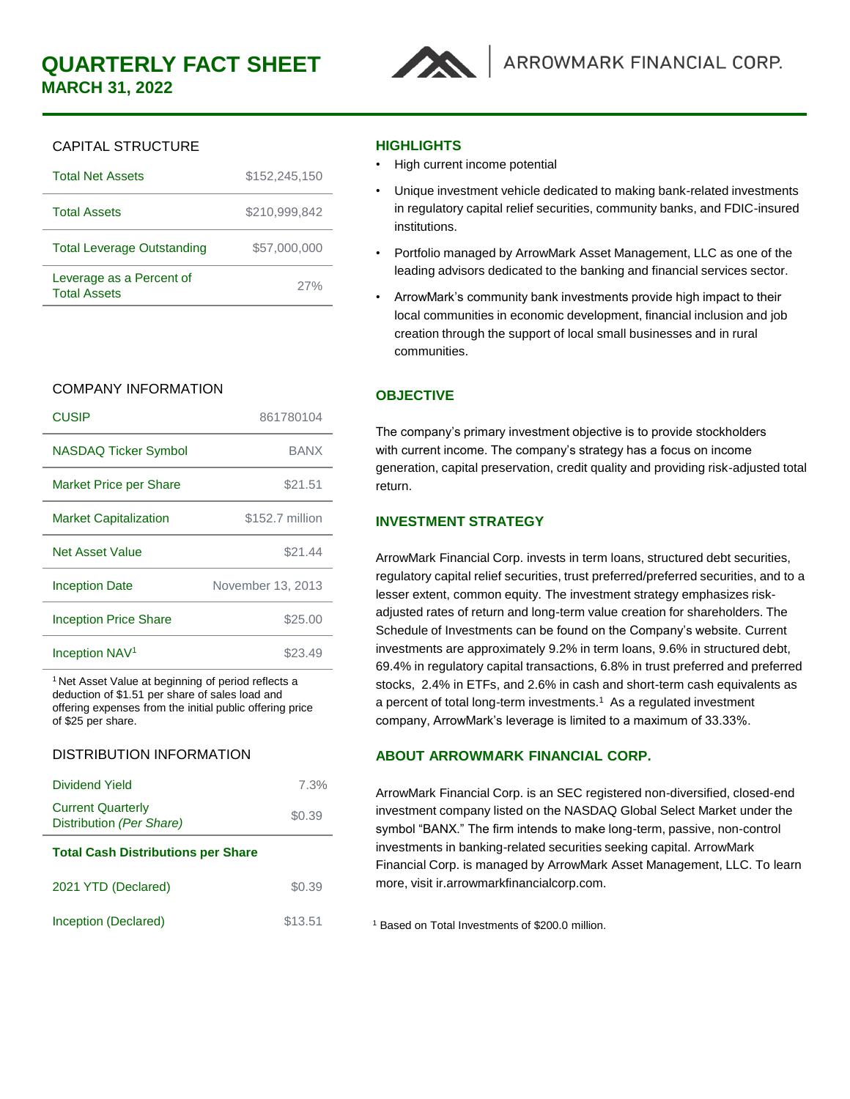

# CAPITAL STRUCTURE

| <b>Total Net Assets</b>                         | \$152,245,150 |
|-------------------------------------------------|---------------|
| <b>Total Assets</b>                             | \$210,999,842 |
| <b>Total Leverage Outstanding</b>               | \$57,000,000  |
| Leverage as a Percent of<br><b>Total Assets</b> | 27%           |
|                                                 |               |

# COMPANY INFORMATION

| CUSIP                         | 861780104         |
|-------------------------------|-------------------|
| NASDAQ Ticker Symbol          | <b>BANX</b>       |
| <b>Market Price per Share</b> | \$21.51           |
| <b>Market Capitalization</b>  | \$152.7 million   |
| Net Asset Value               | \$21.44           |
| <b>Inception Date</b>         | November 13, 2013 |
| <b>Inception Price Share</b>  | \$25.00           |
| Inception NAV <sup>1</sup>    | \$23.49           |

<sup>1</sup> Net Asset Value at beginning of period reflects a deduction of \$1.51 per share of sales load and offering expenses from the initial public offering price of \$25 per share.

## DISTRIBUTION INFORMATION

| Dividend Yield                                       | 7.3%    |  |
|------------------------------------------------------|---------|--|
| <b>Current Quarterly</b><br>Distribution (Per Share) | \$0.39  |  |
| <b>Total Cash Distributions per Share</b>            |         |  |
| 2021 YTD (Declared)                                  | \$0.39  |  |
| Inception (Declared)                                 | \$13.51 |  |
|                                                      |         |  |

## **HIGHLIGHTS**

- High current income potential
- Unique investment vehicle dedicated to making bank-related investments in regulatory capital relief securities, community banks, and FDIC-insured institutions.
- Portfolio managed by ArrowMark Asset Management, LLC as one of the leading advisors dedicated to the banking and financial services sector.
- ArrowMark's community bank investments provide high impact to their local communities in economic development, financial inclusion and job creation through the support of local small businesses and in rural communities.

# **OBJECTIVE**

The company's primary investment objective is to provide stockholders with current income. The company's strategy has a focus on income generation, capital preservation, credit quality and providing risk-adjusted total return.

# **INVESTMENT STRATEGY**

ArrowMark Financial Corp. invests in term loans, structured debt securities, regulatory capital relief securities, trust preferred/preferred securities, and to a lesser extent, common equity. The investment strategy emphasizes riskadjusted rates of return and long-term value creation for shareholders. The Schedule of Investments can be found on the Company's website. Current investments are approximately 9.2% in term loans, 9.6% in structured debt, 69.4% in regulatory capital transactions, 6.8% in trust preferred and preferred stocks, 2.4% in ETFs, and 2.6% in cash and short-term cash equivalents as a percent of total long-term investments.<sup>1</sup> As a regulated investment company, ArrowMark's leverage is limited to a maximum of 33.33%.

# **ABOUT ARROWMARK FINANCIAL CORP.**

ArrowMark Financial Corp. is an SEC registered non-diversified, closed-end investment company listed on the NASDAQ Global Select Market under the symbol "BANX." The firm intends to make long-term, passive, non-control investments in banking-related securities seeking capital. ArrowMark Financial Corp. is managed by ArrowMark Asset Management, LLC. To learn more, visit ir.arrowmarkfinancialcorp.com.

<sup>1</sup> Based on Total Investments of \$200.0 million.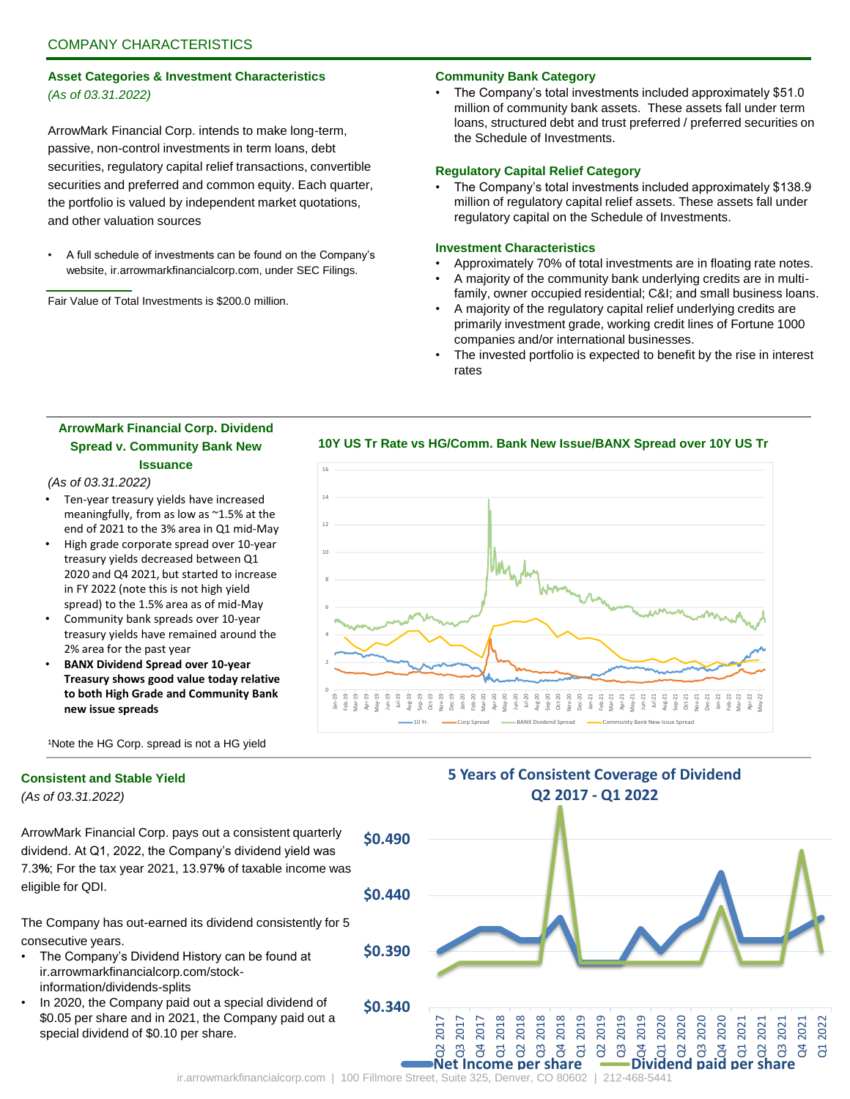## **Asset Categories & Investment Characteristics** *(As of 03.31.2022)*

ArrowMark Financial Corp. intends to make long-term, passive, non-control investments in term loans, debt securities, regulatory capital relief transactions, convertible securities and preferred and common equity. Each quarter, the portfolio is valued by independent market quotations, and other valuation sources

• A full schedule of investments can be found on the Company's website, ir.arrowmarkfinancialcorp.com, under SEC Filings.

Fair Value of Total Investments is \$200.0 million.

### **Community Bank Category**

• The Company's total investments included approximately \$51.0 million of community bank assets. These assets fall under term loans, structured debt and trust preferred / preferred securities on the Schedule of Investments.

#### **Regulatory Capital Relief Category**

• The Company's total investments included approximately \$138.9 million of regulatory capital relief assets. These assets fall under regulatory capital on the Schedule of Investments.

#### **Investment Characteristics**

- Approximately 70% of total investments are in floating rate notes.
- A majority of the community bank underlying credits are in multifamily, owner occupied residential; C&I; and small business loans.
- A majority of the regulatory capital relief underlying credits are primarily investment grade, working credit lines of Fortune 1000 companies and/or international businesses.
- The invested portfolio is expected to benefit by the rise in interest rates

## **ArrowMark Financial Corp. Dividend Spread v. Community Bank New Issuance**

#### *(As of 03.31.2022)*

- Ten-year treasury yields have increased meaningfully, from as low as ~1.5% at the end of 2021 to the 3% area in Q1 mid-May
- High grade corporate spread over 10-year treasury yields decreased between Q1 2020 and Q4 2021, but started to increase in FY 2022 (note this is not high yield spread) to the 1.5% area as of mid-May
- Community bank spreads over 10-year treasury yields have remained around the 2% area for the past year
- **BANX Dividend Spread over 10-year Treasury shows good value today relative to both High Grade and Community Bank new issue spreads**



**10Y US Tr Rate vs HG/Comm. Bank New Issue/BANX Spread over 10Y US Tr**

<sup>1</sup>Note the HG Corp. spread is not a HG yield

### **Consistent and Stable Yield**

*(As of 03.31.2022)*

ArrowMark Financial Corp. pays out a consistent quarterly dividend. At Q1, 2022, the Company's dividend yield was 7.3**%**; For the tax year 2021, 13.97**%** of taxable income was eligible for QDI.

The Company has out-earned its dividend consistently for 5 consecutive years.

- The Company's Dividend History can be found at ir.arrowmarkfinancialcorp.com/stockinformation/dividends-splits
- In 2020, the Company paid out a special dividend of \$0.05 per share and in 2021, the Company paid out a special dividend of \$0.10 per share.